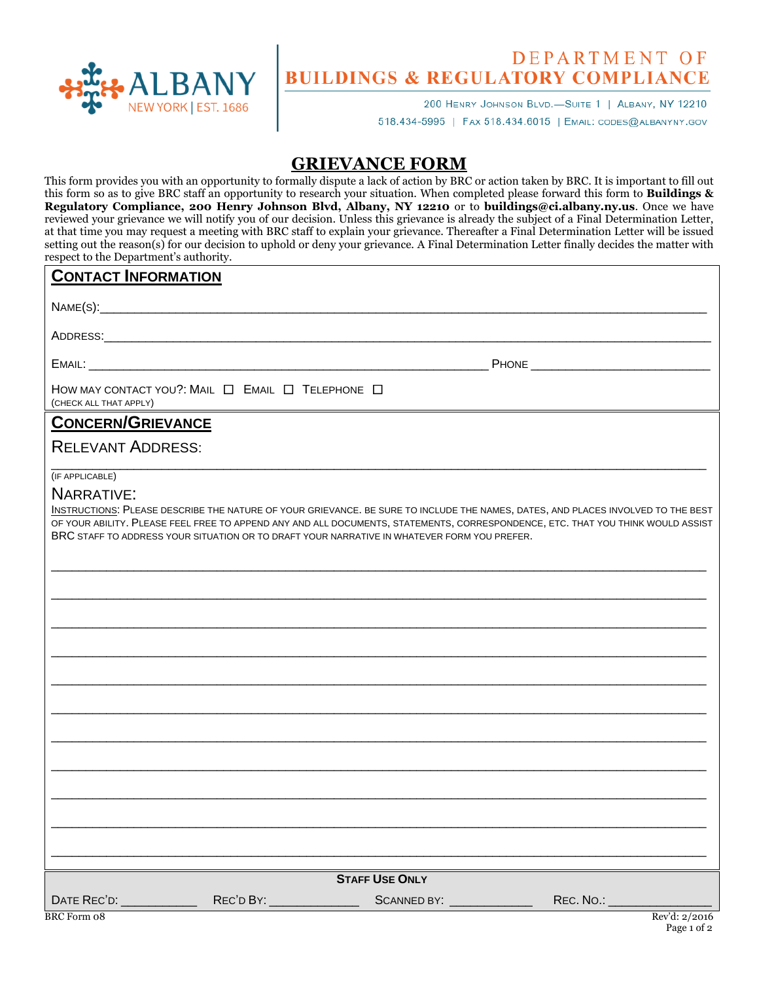

# **DEPARTMENT OF BUILDINGS & REGULATORY COMPLIANCE**

200 HENRY JOHNSON BLVD.-SUITE 1 | ALBANY, NY 12210 518.434-5995 | FAX 518.434.6015 | EMAIL: CODES@ALBANYNY.GOV

## **GRIEVANCE FORM**

This form provides you with an opportunity to formally dispute a lack of action by BRC or action taken by BRC. It is important to fill out this form so as to give BRC staff an opportunity to research your situation. When completed please forward this form to **Buildings & Regulatory Compliance, 200 Henry Johnson Blvd, Albany, NY 12210** or to **buildings@ci.albany.ny.us**. Once we have reviewed your grievance we will notify you of our decision. Unless this grievance is already the subject of a Final Determination Letter, at that time you may request a meeting with BRC staff to explain your grievance. Thereafter a Final Determination Letter will be issued setting out the reason(s) for our decision to uphold or deny your grievance. A Final Determination Letter finally decides the matter with respect to the Department's authority.

#### **CONTACT INFORMATION**

 $NAME(S):$ 

ADDRESS:\_\_\_\_\_\_\_\_\_\_\_\_\_\_\_\_\_\_\_\_\_\_\_\_\_\_\_\_\_\_\_\_\_\_\_\_\_\_\_\_\_\_\_\_\_\_\_\_\_\_\_\_\_\_\_\_\_\_\_\_\_\_\_\_\_\_\_\_\_\_\_\_\_\_\_\_\_\_\_\_\_\_\_\_\_\_\_\_

EMAIL: \_\_\_\_\_\_\_\_\_\_\_\_\_\_\_\_\_\_\_\_\_\_\_\_\_\_\_\_\_\_\_\_\_\_\_\_\_\_\_\_\_\_\_\_\_\_\_\_\_\_\_\_\_\_\_\_\_\_ PHONE \_\_\_\_\_\_\_\_\_\_\_\_\_\_\_\_\_\_\_\_\_\_\_\_\_\_

| HOW MAY CONTACT YOU?: MAIL $\Box$ EMAIL $\Box$ Telephone $\Box$ |  |  |  |
|-----------------------------------------------------------------|--|--|--|
| (CHECK ALL THAT APPLY)                                          |  |  |  |

### **CONCERN/GRIEVANCE**

#### RELEVANT ADDRESS:

#### \_\_\_\_\_\_\_\_\_\_\_\_\_\_\_\_\_\_\_\_\_\_\_\_\_\_\_\_\_\_\_\_\_\_\_\_\_\_\_\_\_\_\_\_\_\_\_\_\_\_\_\_\_\_\_\_\_\_\_\_\_\_\_\_\_\_\_\_\_\_\_\_\_\_\_\_\_\_\_\_\_\_\_\_\_\_\_\_\_\_\_\_\_\_\_ (IF APPLICABLE)

#### NARRATIVE:

INSTRUCTIONS: PLEASE DESCRIBE THE NATURE OF YOUR GRIEVANCE. BE SURE TO INCLUDE THE NAMES, DATES, AND PLACES INVOLVED TO THE BEST OF YOUR ABILITY. PLEASE FEEL FREE TO APPEND ANY AND ALL DOCUMENTS, STATEMENTS, CORRESPONDENCE, ETC. THAT YOU THINK WOULD ASSIST BRC STAFF TO ADDRESS YOUR SITUATION OR TO DRAFT YOUR NARRATIVE IN WHATEVER FORM YOU PREFER.

\_\_\_\_\_\_\_\_\_\_\_\_\_\_\_\_\_\_\_\_\_\_\_\_\_\_\_\_\_\_\_\_\_\_\_\_\_\_\_\_\_\_\_\_\_\_\_\_\_\_\_\_\_\_\_\_\_\_\_\_\_\_\_\_\_\_\_\_\_\_\_\_\_\_\_\_\_\_\_\_\_\_\_\_\_\_\_\_\_\_\_\_\_\_\_

\_\_\_\_\_\_\_\_\_\_\_\_\_\_\_\_\_\_\_\_\_\_\_\_\_\_\_\_\_\_\_\_\_\_\_\_\_\_\_\_\_\_\_\_\_\_\_\_\_\_\_\_\_\_\_\_\_\_\_\_\_\_\_\_\_\_\_\_\_\_\_\_\_\_\_\_\_\_\_\_\_\_\_\_\_\_\_\_\_\_\_\_\_\_\_

\_\_\_\_\_\_\_\_\_\_\_\_\_\_\_\_\_\_\_\_\_\_\_\_\_\_\_\_\_\_\_\_\_\_\_\_\_\_\_\_\_\_\_\_\_\_\_\_\_\_\_\_\_\_\_\_\_\_\_\_\_\_\_\_\_\_\_\_\_\_\_\_\_\_\_\_\_\_\_\_\_\_\_\_\_\_\_\_\_\_\_\_\_\_\_

|                              | <b>STAFF USE ONLY</b> |                              |                 |
|------------------------------|-----------------------|------------------------------|-----------------|
|                              |                       |                              |                 |
| DATE REC'D: ________________ |                       | REC. NO.: __________________ |                 |
| <b>BRC</b> Form 08           |                       |                              | Rev'd: $2/2016$ |